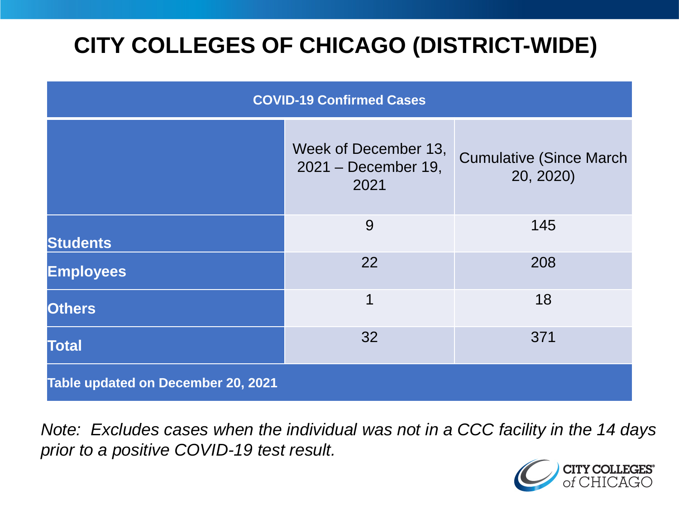# **CITY COLLEGES OF CHICAGO (DISTRICT-WIDE)**

| <b>COVID-19 Confirmed Cases</b>    |                                                     |                                              |
|------------------------------------|-----------------------------------------------------|----------------------------------------------|
|                                    | Week of December 13,<br>2021 – December 19,<br>2021 | <b>Cumulative (Since March)</b><br>20, 2020) |
| <b>Students</b>                    | 9                                                   | 145                                          |
| <b>Employees</b>                   | 22                                                  | 208                                          |
| <b>Others</b>                      | 1                                                   | 18                                           |
| <b>Total</b>                       | 32                                                  | 371                                          |
| Table updated on December 20, 2021 |                                                     |                                              |

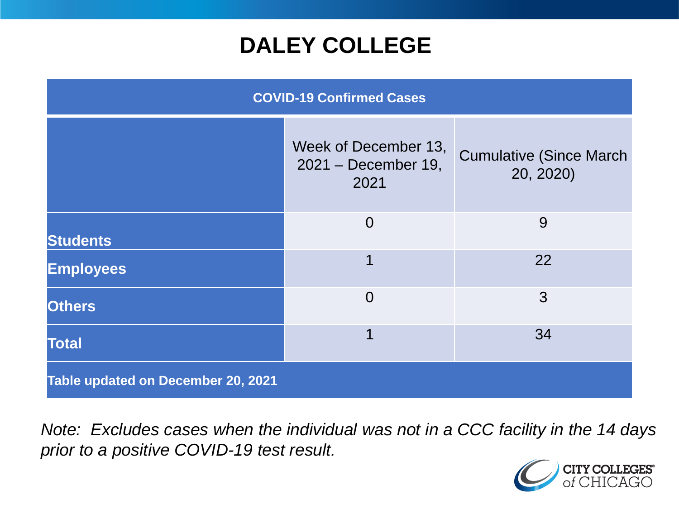## **DALEY COLLEGE**

| <b>COVID-19 Confirmed Cases</b>    |                                                     |                                              |
|------------------------------------|-----------------------------------------------------|----------------------------------------------|
|                                    | Week of December 13,<br>2021 – December 19,<br>2021 | <b>Cumulative (Since March)</b><br>20, 2020) |
| <b>Students</b>                    | $\overline{0}$                                      | 9                                            |
| <b>Employees</b>                   | 1                                                   | 22                                           |
| <b>Others</b>                      | $\Omega$                                            | 3                                            |
| <b>Total</b>                       | 1                                                   | 34                                           |
| Table updated on December 20, 2021 |                                                     |                                              |

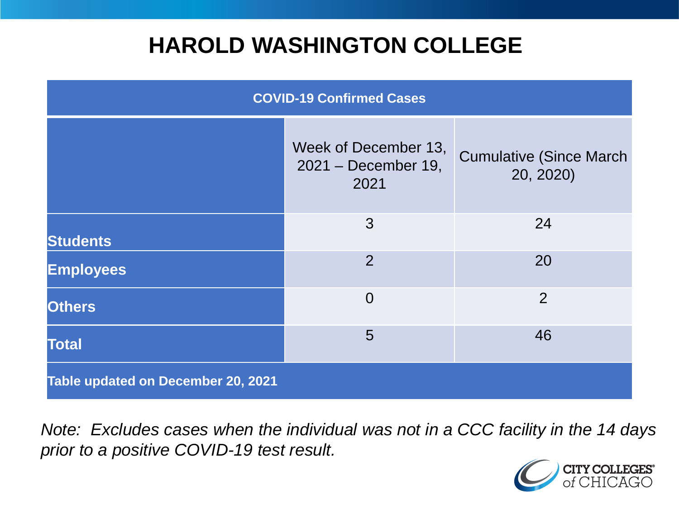## **HAROLD WASHINGTON COLLEGE**

| <b>COVID-19 Confirmed Cases</b>    |                                                     |                                              |
|------------------------------------|-----------------------------------------------------|----------------------------------------------|
|                                    | Week of December 13,<br>2021 – December 19,<br>2021 | <b>Cumulative (Since March)</b><br>20, 2020) |
| <b>Students</b>                    | 3                                                   | 24                                           |
| <b>Employees</b>                   | $\overline{2}$                                      | 20                                           |
| <b>Others</b>                      | $\overline{0}$                                      | $\overline{2}$                               |
| <b>Total</b>                       | 5                                                   | 46                                           |
| Table updated on December 20, 2021 |                                                     |                                              |

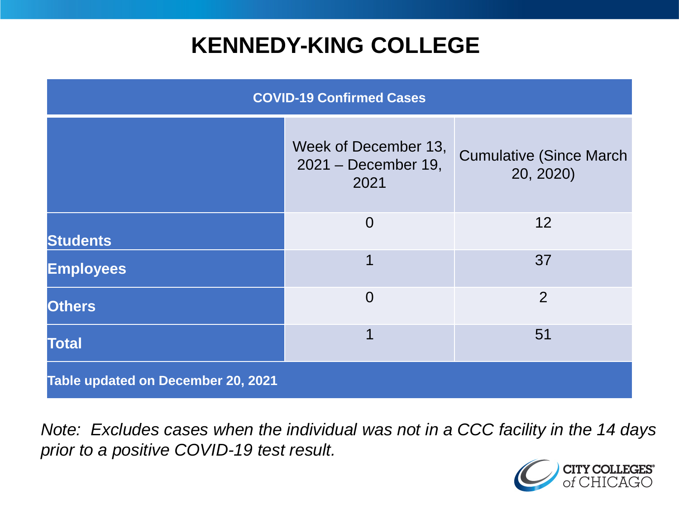## **KENNEDY-KING COLLEGE**

| <b>COVID-19 Confirmed Cases</b>    |                                                       |                                              |
|------------------------------------|-------------------------------------------------------|----------------------------------------------|
|                                    | Week of December 13,<br>$2021 - December 19,$<br>2021 | <b>Cumulative (Since March)</b><br>20, 2020) |
| <b>Students</b>                    | $\overline{0}$                                        | 12                                           |
| <b>Employees</b>                   | 1                                                     | 37                                           |
| <b>Others</b>                      | $\Omega$                                              | 2                                            |
| <b>Total</b>                       | 1                                                     | 51                                           |
| Table updated on December 20, 2021 |                                                       |                                              |

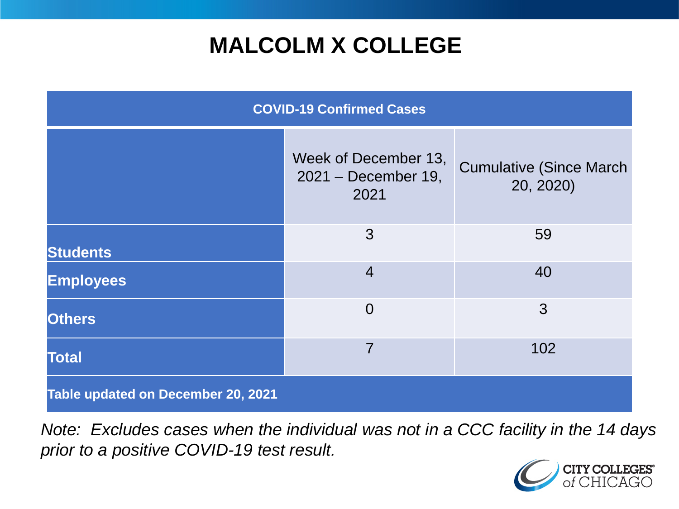# **MALCOLM X COLLEGE**

| <b>COVID-19 Confirmed Cases</b>    |                                                     |                                              |
|------------------------------------|-----------------------------------------------------|----------------------------------------------|
|                                    | Week of December 13,<br>2021 - December 19,<br>2021 | <b>Cumulative (Since March)</b><br>20, 2020) |
| <b>Students</b>                    | 3                                                   | 59                                           |
| <b>Employees</b>                   | $\overline{4}$                                      | 40                                           |
| <b>Others</b>                      | $\overline{0}$                                      | 3                                            |
| <b>Total</b>                       | $\overline{7}$                                      | 102                                          |
| Table updated on December 20, 2021 |                                                     |                                              |

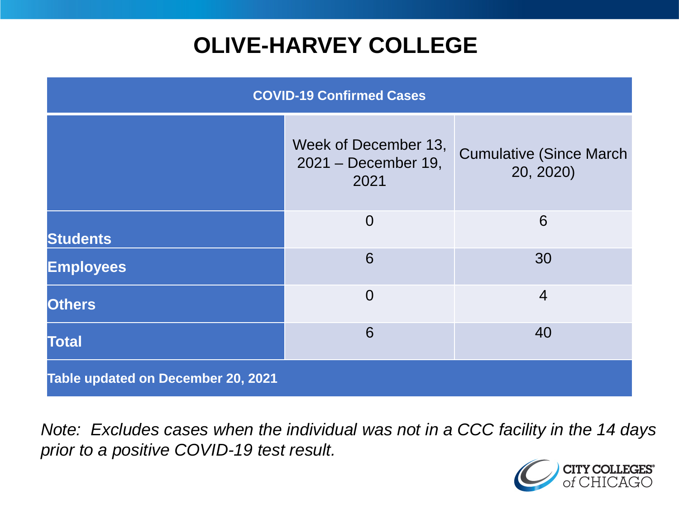# **OLIVE-HARVEY COLLEGE**

| <b>COVID-19 Confirmed Cases</b>    |                                                        |                                              |
|------------------------------------|--------------------------------------------------------|----------------------------------------------|
|                                    | Week of December 13,<br>$2021 - December 19$ ,<br>2021 | <b>Cumulative (Since March)</b><br>20, 2020) |
| <b>Students</b>                    | $\overline{0}$                                         | 6                                            |
| <b>Employees</b>                   | 6                                                      | 30                                           |
| <b>Others</b>                      | $\overline{0}$                                         | $\overline{4}$                               |
| <b>Total</b>                       | 6                                                      | 40                                           |
| Table updated on December 20, 2021 |                                                        |                                              |

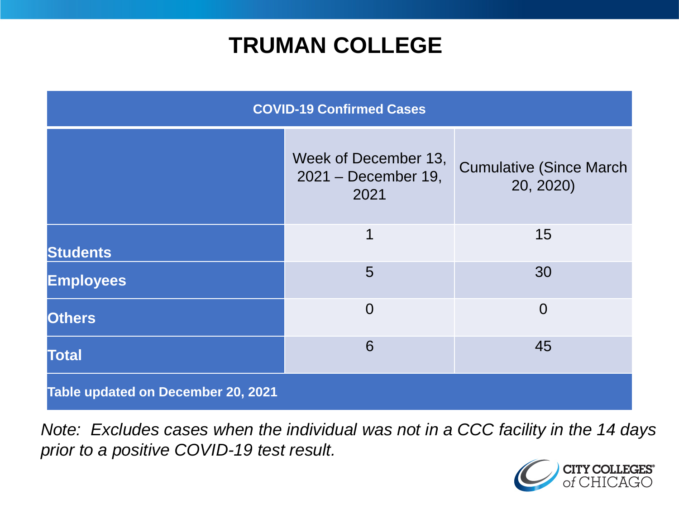## **TRUMAN COLLEGE**

| <b>COVID-19 Confirmed Cases</b>    |                                                     |                                              |
|------------------------------------|-----------------------------------------------------|----------------------------------------------|
|                                    | Week of December 13,<br>2021 - December 19,<br>2021 | <b>Cumulative (Since March)</b><br>20, 2020) |
| <b>Students</b>                    | 1                                                   | 15                                           |
| <b>Employees</b>                   | 5                                                   | 30                                           |
| <b>Others</b>                      | $\overline{0}$                                      | $\overline{0}$                               |
| <b>Total</b>                       | 6                                                   | 45                                           |
| Table updated on December 20, 2021 |                                                     |                                              |

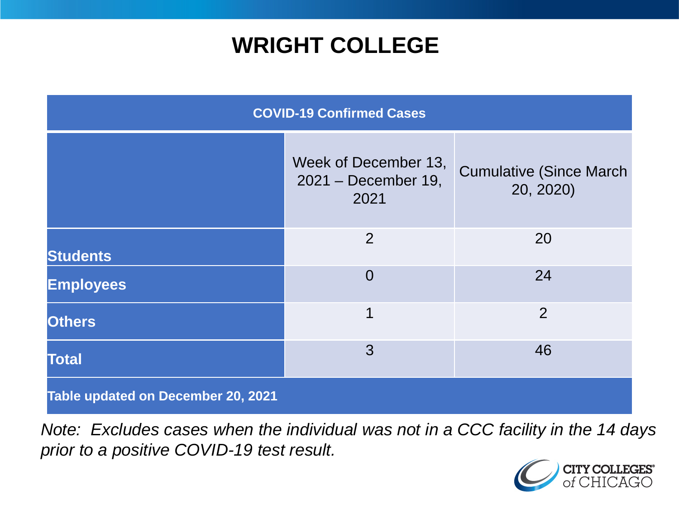## **WRIGHT COLLEGE**

| <b>COVID-19 Confirmed Cases</b>    |                                                     |                                              |
|------------------------------------|-----------------------------------------------------|----------------------------------------------|
|                                    | Week of December 13,<br>2021 - December 19,<br>2021 | <b>Cumulative (Since March)</b><br>20, 2020) |
| <b>Students</b>                    | $\overline{2}$                                      | 20                                           |
| <b>Employees</b>                   | $\overline{0}$                                      | 24                                           |
| <b>Others</b>                      | 1                                                   | $\overline{2}$                               |
| <b>Total</b>                       | 3                                                   | 46                                           |
| Table updated on December 20, 2021 |                                                     |                                              |